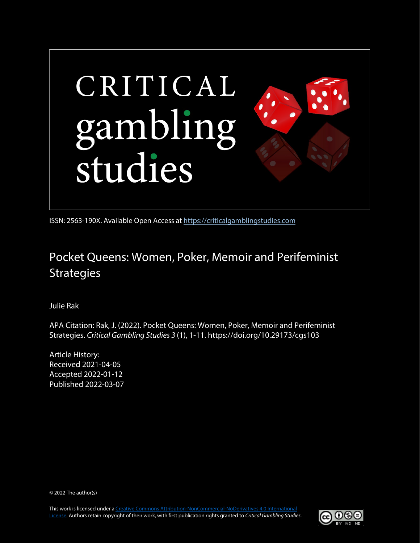

ISSN: 2563-190X. Available Open Access at [https://criticalgamblingstudies.com](https://criticalgamblingstudies.com/)

# Pocket Queens: Women, Poker, Memoir and Perifeminist **Strategies**

Julie Rak

APA Citation: Rak, J. (2022). Pocket Queens: Women, Poker, Memoir and Perifeminist Strategies. *Critical Gambling Studies 3* (1), 1-11. https://doi.org/10.29173/cgs103

Article History: Received 2021-04-05 Accepted 2022-01-12 Published 2022-03-07

© 2022 The author(s)

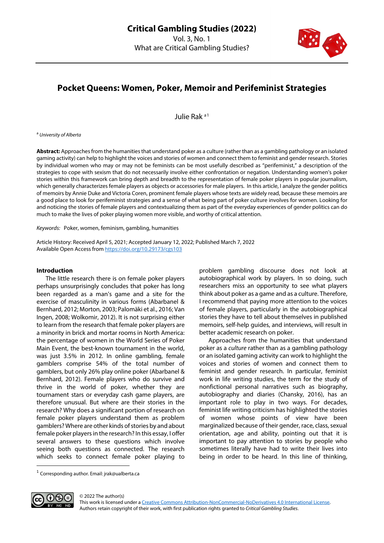

## **Pocket Queens: Women, Poker, Memoir and Perifeminist Strategies**

Julie Rak a[1](#page-1-0)

<sup>a</sup> *University of Alberta*

**Abstract:** Approaches from the humanities that understand poker as a culture (rather than as a gambling pathology or an isolated gaming activity) can help to highlight the voices and stories of women and connect them to feminist and gender research. Stories by individual women who may or may not be feminists can be most usefully described as "perifeminist," a description of the strategies to cope with sexism that do not necessarily involve either confrontation or negation. Understanding women's poker stories within this framework can bring depth and breadth to the representation of female poker players in popular journalism, which generally characterizes female players as objects or accessories for male players. In this article, I analyze the gender politics of memoirs by Annie Duke and Victoria Coren, prominent female players whose texts are widely read, because these memoirs are a good place to look for perifeminist strategies and a sense of what being part of poker culture involves for women. Looking for and noticing the stories of female players and contextualizing them as part of the everyday experiences of gender politics can do much to make the lives of poker playing women more visible, and worthy of critical attention.

*Keywords:* Poker, women, feminism, gambling, humanities

Article History: Received April 5, 2021; Accepted January 12, 2022; Published March 7, 2022 Available Open Access from <https://doi.org/10.29173/cgs103>

#### **Introduction**

The little research there is on female poker players perhaps unsurprisingly concludes that poker has long been regarded as a man's game and a site for the exercise of masculinity in various forms (Abarbanel & Bernhard, 2012; Morton, 2003; Palomäki et al., 2016; Van Ingen, 2008; Wolkomir, 2012). It is not surprising either to learn from the research that female poker players are a minority in brick and mortar rooms in North America: the percentage of women in the World Series of Poker Main Event, the best-known tournament in the world, was just 3.5% in 2012. In online gambling, female gamblers comprise 54% of the total number of gamblers, but only 26% play online poker (Abarbanel & Bernhard, 2012). Female players who do survive and thrive in the world of poker, whether they are tournament stars or everyday cash game players, are therefore unusual. But where are their stories in the research? Why does a significant portion of research on female poker players understand them as problem gamblers? Where are other kinds of stories by and about female poker players in the research? In this essay, I offer several answers to these questions which involve seeing both questions as connected. The research which seeks to connect female poker playing to

problem gambling discourse does not look at autobiographical work by players. In so doing, such researchers miss an opportunity to see what players think about poker as a game and as a culture. Therefore, I recommend that paying more attention to the voices of female players, particularly in the autobiographical stories they have to tell about themselves in published memoirs, self-help guides, and interviews, will result in better academic research on poker.

Approaches from the humanities that understand poker as a *culture* rather than as a gambling pathology or an isolated gaming activity can work to highlight the voices and stories of women and connect them to feminist and gender research. In particular, feminist work in life writing studies, the term for the study of nonfictional personal narratives such as biography, autobiography and diaries (Chansky, 2016), has an important role to play in two ways. For decades, feminist life writing criticism has highlighted the stories of women whose points of view have been marginalized because of their gender, race, class, sexual orientation, age and ability, pointing out that it is important to pay attention to stories by people who sometimes literally have had to write their lives into being in order to be heard. In this line of thinking,

<span id="page-1-0"></span><sup>1</sup> Corresponding author. Email: jrak@ualberta.ca



© 2022 The author(s) This work is licensed under [a Creative Commons Attribution-NonCommercial-NoDerivatives 4.0 International License.](https://creativecommons.org/licenses/by-nc-nd/4.0/)  Authors retain copyright of their work, with first publication rights granted to *Critical Gambling Studies*.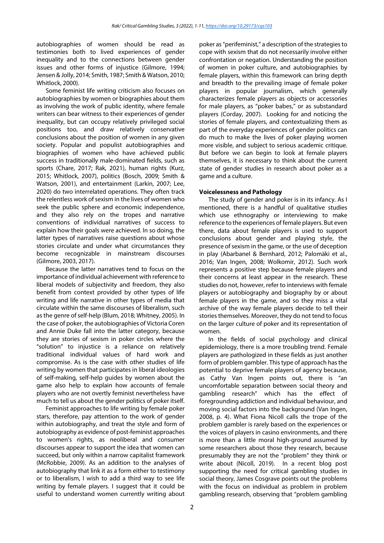autobiographies of women should be read as testimonies both to lived experiences of gender inequality and to the connections between gender issues and other forms of injustice (Gilmore, 1994; Jensen & Jolly, 2014; Smith, 1987; Smith & Watson, 2010; Whitlock, 2000).

Some feminist life writing criticism also focuses on autobiographies by women or biographies about them as involving the work of public identity, where female writers can bear witness to their experiences of gender inequality, but can occupy relatively privileged social positions too, and draw relatively conservative conclusions about the position of women in any given society. Popular and populist autobiographies and biographies of women who have achieved public success in traditionally male-dominated fields, such as sports (Chare, 2017; Rak, 2021), human rights (Kurz, 2015; Whitlock, 2007), politics (Bosch, 2009; Smith & Watson, 2001), and entertainment (Larkin, 2007; Lee, 2020) do two interrelated operations. They often track the relentless work of sexism in the lives of women who seek the public sphere and economic independence, and they also rely on the tropes and narrative conventions of individual narratives of success to explain how their goals were achieved. In so doing, the latter types of narratives raise questions about whose stories circulate and under what circumstances they become recognizable in mainstream discourses (Gilmore, 2003, 2017).

Because the latter narratives tend to focus on the importance of individual achievement with reference to liberal models of subjectivity and freedom, they also benefit from context provided by other types of life writing and life narrative in other types of media that circulate within the same discourses of liberalism, such as the genre of self-help (Blum, 2018; Whitney, 2005). In the case of poker, the autobiographies of Victoria Coren and Annie Duke fall into the latter category, because they are stories of sexism in poker circles where the "solution" to injustice is a reliance on relatively traditional individual values of hard work and compromise. As is the case with other studies of life writing by women that participates in liberal ideologies of self-making, self-help guides by women about the game also help to explain how accounts of female players who are not overtly feminist nevertheless have much to tell us about the gender politics of poker itself.

Feminist approaches to life writing by female poker stars, therefore, pay attention to the work of gender within autobiography, and treat the style and form of autobiography as evidence of post-feminist approaches to women's rights, as neoliberal and consumer discourses appear to support the idea that women can succeed, but only within a narrow capitalist framework (McRobbie, 2009). As an addition to the analyses of autobiography that link it as a form either to testimony or to liberalism, I wish to add a third way to see life writing by female players. I suggest that it could be useful to understand women currently writing about

poker as "perifeminist," a description of the strategies to cope with sexism that do not necessarily involve either confrontation or negation. Understanding the position of women in poker culture, and autobiographies by female players, within this framework can bring depth and breadth to the prevailing image of female poker players in popular journalism, which generally characterizes female players as objects or accessories for male players, as "poker babes," or as substandard players (Corday, 2007). Looking for and noticing the stories of female players, and contextualizing them as part of the everyday experiences of gender politics can do much to make the lives of poker playing women more visible, and subject to serious academic critique. But before we can begin to look at female players themselves, it is necessary to think about the current state of gender studies in research about poker as a game and a culture.

#### **Voicelessness and Pathology**

The study of gender and poker is in its infancy. As I mentioned, there is a handful of qualitative studies which use ethnography or interviewing to make reference to the experiences of female players. But even there, data about female players is used to support conclusions about gender and playing style, the presence of sexism in the game, or the use of deception in play (Abarbanel & Bernhard, 2012; Palomäki et al., 2016; Van Ingen, 2008; Wolkomir, 2012). Such work represents a positive step because female players and their concerns at least appear in the research. These studies do not, however, refer to interviews with female players or autobiography and biography by or about female players in the game, and so they miss a vital archive of the way female players decide to tell their stories themselves. Moreover, they do not tend to focus on the larger culture of poker and its representation of women.

In the fields of social psychology and clinical epidemiology, there is a more troubling trend. Female players are pathologized in these fields as just another form of problem gambler. This type of approach has the potential to deprive female players of agency because, as Cathy Van Ingen points out, there is "an uncomfortable separation between social theory and gambling research" which has the effect of foregrounding addiction and individual behaviour, and moving social factors into the background (Van Ingen, 2008, p. 4). What Fiona Nicoll calls the trope of the problem gambler is rarely based on the experiences or the voices of players in casino environments, and there is more than a little moral high-ground assumed by some researchers about those they research, because presumably they are not the "problem" they think or write about (Nicoll, 2019). In a recent blog post supporting the need for critical gambling studies in social theory, James Cosgrave points out the problems with the focus on individual as problem in problem gambling research, observing that "problem gambling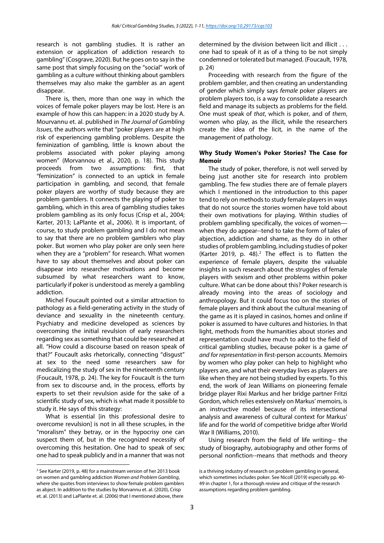research is not gambling studies. It is rather an extension or application of addiction research to gambling"(Cosgrave, 2020). But he goes on to say in the same post that simply focusing on the "social" work of gambling as a culture without thinking about gamblers themselves may also make the gambler as an agent disappear.

There is, then, more than one way in which the voices of female poker players may be lost. Here is an example of how this can happen: in a 2020 study by A. Mourvannu et. al. published in *The Journal of Gambling Issues,* the authors write that "poker players are at high risk of experiencing gambling problems. Despite the feminization of gambling, little is known about the problems associated with poker playing among women" (Morvannou et al., 2020, p. 18). This study proceeds from two assumptions: first, that "feminization" is connected to an uptick in female participation in gambling, and second, that female poker players are worthy of study because they are problem gamblers. It connects the playing of poker to gambling, which in this area of gambling studies takes problem gambling as its only focus (Crisp et al., 2004; Karter, 2013; LaPlante et al., 2006). It is important, of course, to study problem gambling and I do not mean to say that there are no problem gamblers who play poker. But women who play poker are only seen here when they are a "problem" for research. What women have to say about themselves and about poker can disappear into researcher motivations and become subsumed by what researchers want to know, particularly if poker is understood as merely a gambling addiction.

Michel Foucault pointed out a similar attraction to pathology as a field-generating activity in the study of deviance and sexuality in the nineteenth century. Psychiatry and medicine developed as sciences by overcoming the initial revulsion of early researchers regarding sex as something that could be researched at all. "How could a discourse based on reason speak of that?" Foucault asks rhetorically, connecting "disgust" at sex to the need some researchers saw for medicalizing the study of sex in the nineteenth century (Foucault, 1978, p. 24). The key for Foucault is the turn from sex to discourse and, in the process, efforts by experts to set their revulsion aside for the sake of a scientific study of sex, which is what made it possible to study it. He says of this strategy:

What is essential [in this professional desire to overcome revulsion] is not in all these scruples, in the "moralism" they betray, or in the hypocrisy one can suspect them of, but in the recognized necessity of overcoming this hesitation. One had to speak of sex; one had to speak publicly and in a manner that was not determined by the division between licit and illicit . . . one had to speak of it as of a thing to be not simply condemned or tolerated but managed. (Foucault, 1978, p. 24)

Proceeding with research from the figure of the problem gambler, and then creating an understanding of gender which simply says *female* poker players are problem players too, is a way to consolidate a research field and manage its subjects as problems for the field. One must speak of *that*, which is poker, and of *them*, women who play, as the illicit, while the researchers create the idea of the licit, in the name of the management of pathology.

#### **Why Study Women's Poker Stories? The Case for Memoir**

The study of poker, therefore, is not well served by being just another site for research into problem gambling. The few studies there are of female players which I mentioned in the introduction to this paper tend to rely on methods to study female players in ways that do not source the stories women have told about their own motivations for playing. Within studies of problem gambling specifically, the voices of women when they do appear--tend to take the form of tales of abjection, addiction and shame, as they do in other studies of problem gambling, including studies of poker (Karter [2](#page-3-0)019, p. 48). $2$  The effect is to flatten the experience of female players, despite the valuable insights in such research about the struggles of female players with sexism and other problems within poker culture. What can be done about this? Poker research is already moving into the areas of sociology and anthropology. But it could focus too on the stories of female players and think about the cultural meaning of the game as it is played in casinos, homes and online if poker is assumed to have cultures and histories. In that light, methods from the humanities about stories and representation could have much to add to the field of critical gambling studies, because poker is a game *of and for representation* in first-person accounts. Memoirs by women who play poker can help to highlight who players are, and what their everyday lives as players are like when they are not being studied by experts. To this end, the work of Jean Williams on pioneering female bridge player Rixi Markus and her bridge partner Fritzi Gordon, which relies extensively on Markus' memoirs, is an instructive model because of its intersectional analysis and awareness of cultural context for Markus' life and for the world of competitive bridge after World War II (Williams, 2010).

Using research from the field of life writing-- the study of biography, autobiography and other forms of personal nonfiction--means that methods and theory

<span id="page-3-0"></span> $2$  See Karter (2019, p. 48) for a mainstream version of her 2013 book on women and gambling addiction *Women and Problem Gambling*, where she quotes from interviews to show female problem gamblers as abject. In addition to the studies by Morvannu et. al. (2020), Crisp et. al. (2013) and LaPlante et. al. (2006) that I mentioned above, there

is a thriving industry of research on problem gambling in general, which sometimes includes poker. See Nicoll (2019) especially pp. 40- 49 in chapter 1, for a thorough review and critique of the research assumptions regarding problem gambling.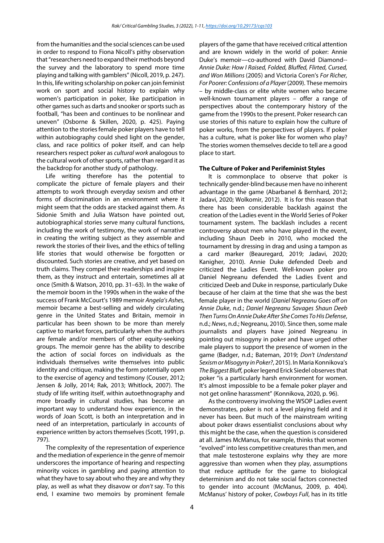from the humanities and the social sciences can be used in order to respond to Fiona Nicoll's pithy observation that "researchers need to expand their methods beyond the survey and the laboratory to spend more time playing and talking with gamblers"(Nicoll, 2019, p. 247). In this, life writing scholarship on poker can join feminist work on sport and social history to explain why women's participation in poker, like participation in other games such as darts and snooker or sports such as football, "has been and continues to be nonlinear and uneven" (Osborne & Skillen, 2020, p. 425). Paying attention to the stories female poker players have to tell within autobiography could shed light on the gender, class, and race politics of poker itself, and can help researchers respect poker as *cultural work* analogous to the cultural work of other sports, rather than regard it as the backdrop for another study of pathology.

Life writing therefore has the potential to complicate the picture of female players and their attempts to work through everyday sexism and other forms of discrimination in an environment where it might seem that the odds are stacked against them. As Sidonie Smith and Julia Watson have pointed out, autobiographical stories serve many cultural functions, including the work of testimony, the work of narrative in creating the writing subject as they assemble and rework the stories of their lives, and the ethics of telling life stories that would otherwise be forgotten or discounted. Such stories are creative, and yet based on truth claims. They compel their readerships and inspire them, as they instruct and entertain, sometimes all at once (Smith & Watson, 2010, pp. 31–63). In the wake of the memoir boom in the 1990s when in the wake of the success of Frank McCourt's 1989 memoir *Angela's Ashes,* memoir became a best-selling and widely circulating genre in the United States and Britain, memoir in particular has been shown to be more than merely captive to market forces, particularly when the authors are female and/or members of other equity-seeking groups. The memoir genre has the ability to describe the action of social forces on individuals as the individuals themselves write themselves into public identity and critique, making the form potentially open to the exercise of agency and testimony (Couser, 2012; Jensen & Jolly, 2014; Rak, 2013; Whitlock, 2007). The study of life writing itself, within autoethnography and more broadly in cultural studies, has become an important way to understand how experience, in the words of Joan Scott, is both an interpretation and in need of an interpretation, particularly in accounts of experience written by actors themselves (Scott, 1991, p. 797).

The complexity of the representation of experience and the mediation of experience in the genre of memoir underscores the importance of hearing and respecting minority voices in gambling and paying attention to what they have to say about who they are and why they play, as well as what they disavow or *don't* say. To this end, I examine two memoirs by prominent female

players of the game that have received critical attention and are known widely in the world of poker: Annie Duke's memoir—co-authored with David Diamond-- *Annie Duke: How I Raised, Folded, Bluffed, Flirted, Cursed, and Won Millions* (2005) and Victoria Coren's *For Richer, For Poorer: Confessions of a Player* (2009). These memoirs – by middle-class or elite white women who became well-known tournament players – offer a range of perspectives about the contemporary history of the game from the 1990s to the present. Poker research can use stories of this nature to explain how the culture of poker works, from the perspectives of players. If poker has a culture, what is poker like for women who play? The stories women themselves decide to tell are a good place to start.

#### **The Culture of Poker and Perifeminist Styles**

It is commonplace to observe that poker is technically gender-blind because men have no inherent advantage in the game (Abarbanel & Bernhard, 2012; Jadavi, 2020; Wolkomir, 2012). It is for this reason that there has been considerable backlash against the creation of the Ladies event in the World Series of Poker tournament system. The backlash includes a recent controversy about men who have played in the event, including Shaun Deeb in 2010, who mocked the tournament by dressing in drag and using a tampon as a card marker (Beauregard, 2019; Jadavi, 2020; Kanigher, 2010). Annie Duke defended Deeb and criticized the Ladies Event. Well-known poker pro Daniel Negreanu defended the Ladies Event and criticized Deeb and Duke in response, particularly Duke because of her claim at the time that she was the best female player in the world (*Daniel Negreanu Goes off on Annie Duke*, n.d.; *Daniel Negreanu Savages Shaun Deeb Then Turns On Annie Duke After She Comes To His Defense*, n.d.; *News*, n.d.; Negreanu, 2010). Since then, some male journalists and players have joined Negreanu in pointing out misogyny in poker and have urged other male players to support the presence of women in the game (Badger, n.d.; Bateman, 2019; *Don't Understand Sexism or Misogyny in Poker?*, 2015). In Maria Konnikova's *The Biggest Bluff,* poker legend Erick Siedel observes that poker "is a particularly harsh environment for women. It's almost impossible to be a female poker player and not get online harassment" (Konnikova, 2020, p. 96).

As the controversy involving the WSOP Ladies event demonstrates, poker is not a level playing field and it never has been. But much of the mainstream writing about poker draws essentialist conclusions about why this might be the case, when the question is considered at all. James McManus, for example, thinks that women "evolved"into less competitive creatures than men, and that male testosterone explains why they are more aggressive than women when they play, assumptions that reduce aptitude for the game to biological determinism and do not take social factors connected to gender into account (McManus, 2009, p. 404). McManus' history of poker, *Cowboys Full*, has in its title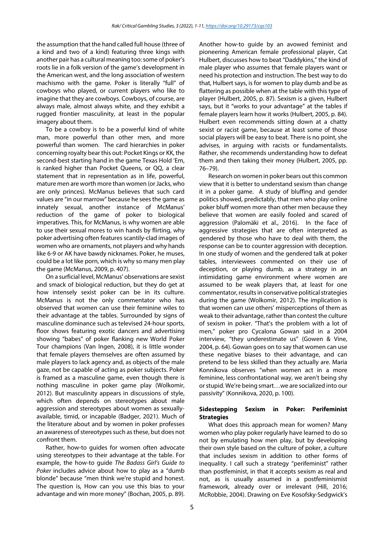the assumption that the hand called full house (three of a kind and two of a kind) featuring three kings with another pair has a cultural meaning too: some of poker's roots lie in a folk version of the game's development in the American west, and the long association of western machismo with the game. Poker is literally "full" of cowboys who played, or current players who like to imagine that they are cowboys. Cowboys, of course, are always male, almost always white, and they exhibit a rugged frontier masculinity, at least in the popular imagery about them.

To be a cowboy is to be a powerful kind of white man, more powerful than other men, and more powerful than women. The card hierarchies in poker concerning royalty bear this out: Pocket Kings or KK, the second-best starting hand in the game Texas Hold 'Em, is ranked higher than Pocket Queens, or QQ, a clear statement that in representation as in life, powerful, mature men are worth more than women (or Jacks, who are only princes). McManus believes that such card values are "in our marrow" because he sees the game as innately sexual, another instance of McManus' reduction of the game of poker to biological imperatives. This, for McManus, is why women are able to use their sexual mores to win hands by flirting, why poker advertising often features scantily-clad images of women who are ornaments, not players and why hands like 6-9 or AK have bawdy nicknames. Poker, he muses, could be a lot like porn, which is why so many men play the game (McManus, 2009, p. 407).

On a surficial level, McManus' observations are sexist and smack of biological reduction, but they do get at how intensely sexist poker can be in its culture. McManus is not the only commentator who has observed that women can use their feminine wiles to their advantage at the tables. Surrounded by signs of masculine dominance such as televised 24-hour sports, floor shows featuring exotic dancers and advertising showing "babes" of poker flanking new World Poker Tour champions (Van Ingen, 2008), it is little wonder that female players themselves are often assumed by male players to lack agency and, as objects of the male gaze, not be capable of acting as poker subjects. Poker is framed as a masculine game, even though there is nothing masculine in poker game play (Wolkomir, 2012). But masculinity appears in discussions of style, which often depends on stereotypes about male aggression and stereotypes about women as sexuallyavailable, timid, or incapable (Badger, 2021). Much of the literature about and by women in poker professes an awareness of stereotypes such as these, but does not confront them.

Rather, how-to guides for women often advocate using stereotypes to their advantage at the table. For example, the how-to guide *The Badass Girl's Guide to Poker* includes advice about how to play as a "dumb blonde" because "men think we're stupid and honest. The question is, How can you use this bias to your advantage and win more money" (Bochan, 2005, p. 89). Another how-to guide by an avowed feminist and pioneering American female professional player, Cat Hulbert, discusses how to beat "Daddykins," the kind of male player who assumes that female players want or need his protection and instruction. The best way to do that, Hulbert says, is for women to play dumb and be as flattering as possible when at the table with this type of player (Hulbert, 2005, p. 87). Sexism is a given, Hulbert says, but it "works to your advantage" at the tables if female players learn how it works (Hulbert, 2005, p. 84). Hulbert even recommends sitting down at a chatty sexist or racist game, because at least some of those social players will be easy to beat. There is no point, she advises, in arguing with racists or fundamentalists. Rather, she recommends understanding how to defeat them and then taking their money (Hulbert, 2005, pp. 76–79).

Research on women in poker bears out this common view that it is better to understand sexism than change it in a poker game. A study of bluffing and gender politics showed, predictably, that men who play online poker bluff women more than other men because they believe that women are easily fooled and scared of aggression (Palomäki et al., 2016). In the face of aggressive strategies that are often interpreted as gendered by those who have to deal with them, the response can be to counter aggression with deception. In one study of women and the gendered talk at poker tables, interviewees commented on their use of deception, or playing dumb, as a strategy in an intimidating game environment where women are assumed to be weak players that, at least for one commentator, results in conservative political strategies during the game (Wolkomir, 2012). The implication is that women can use others' misperceptions of them as weak to their advantage, rather than contest the culture of sexism in poker. "That's the problem with a lot of men," poker pro Cycalona Gowan said in a 2004 interview, "they underestimate us" (Gowen & Vine, 2004, p. 64). Gowan goes on to say that women can use these negative biases to their advantage, and can pretend to be less skilled than they actually are. Maria Konnikova observes "when women act in a more feminine, less confrontational way, we aren't being shy or stupid. We're being smart…we are socialized into our passivity" (Konnikova, 2020, p. 100).

### **Sidestepping Sexism in Poker: Perifeminist Strategies**

What does this approach mean for women? Many women who play poker regularly have learned to do so not by emulating how men play, but by developing their own style based on the culture of poker, a culture that includes sexism in addition to other forms of inequality. I call such a strategy "perifeminist" rather than postfeminist, in that it accepts sexism as real and not, as is usually assumed in a postfeminismist framework, already over or irrelevant (Hill, 2016; McRobbie, 2004). Drawing on Eve Kosofsky-Sedgwick's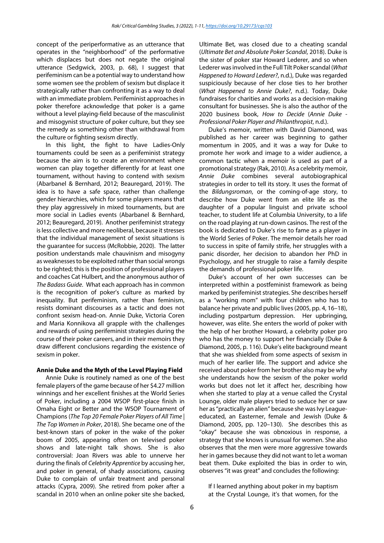concept of the periperformative as an utterance that operates in the "neighborhood" of the performative which displaces but does not negate the original utterance (Sedgwick, 2003, p. 68), I suggest that perifeminism can be a potential way to understand how some women see the problem of sexism but displace it strategically rather than confronting it as a way to deal with an immediate problem. Perifeminist approaches in poker therefore acknowledge that poker is a game without a level playing-field because of the masculinist and misogynist structure of poker culture, but they see the remedy as something other than withdrawal from the culture or fighting sexism directly.

In this light, the fight to have Ladies-Only tournaments could be seen as a perifeminist strategy because the aim is to create an environment where women can play together differently for at least one tournament, without having to contend with sexism (Abarbanel & Bernhard, 2012; Beauregard, 2019). The idea is to have a safe space, rather than challenge gender hierarchies, which for some players means that they play aggressively in mixed tournaments, but are more social in Ladies events (Abarbanel & Bernhard, 2012; Beauregard, 2019). Another perifeminist strategy is less collective and more neoliberal, because it stresses that the individual management of sexist situations is the guarantee for success (McRobbie, 2020). The latter position understands male chauvinism and misogyny as weaknesses to be exploited rather than social wrongs to be righted; this is the position of professional players and coaches Cat Hulbert, and the anonymous author of *The Badass Guide*. What each approach has in common is the recognition of poker's culture as marked by inequality. But perifeminism, rather than feminism, resists dominant discourses as a tactic and does not confront sexism head-on. Annie Duke, Victoria Coren and Maria Konnikova all grapple with the challenges and rewards of using perifeminist strategies during the course of their poker careers, and in their memoirs they draw different conclusions regarding the existence of sexism in poker.

#### **Annie Duke and the Myth of the Level Playing Field**

Annie Duke is routinely named as one of the best female players of the game because of her \$4.27 million winnings and her excellent finishes at the World Series of Poker, including a 2004 WSOP first-place finish in Omaha Eight or Better and the WSOP Tournament of Champions (*The Top 20 Female Poker Players of All Time | The Top Women in Poker*, 2018). She became one of the best-known stars of poker in the wake of the poker boom of 2005, appearing often on televised poker shows and late-night talk shows. She is also controversial: Joan Rivers was able to unnerve her during the finals of *Celebrity Apprentice* by accusing her, and poker in general, of shady associations, causing Duke to complain of unfair treatment and personal attacks (Cypra, 2009). She retired from poker after a scandal in 2010 when an online poker site she backed, Ultimate Bet, was closed due to a cheating scandal (*Ultimate Bet and Absolute Poker Scandal*, 2018). Duke is the sister of poker star Howard Lederer, and so when Lederer was involved in the Full Tilt Poker scandal (*What Happened to Howard Lederer?*, n.d.), Duke was regarded suspiciously because of her close ties to her brother (*What Happened to Annie Duke?*, n.d.). Today, Duke fundraises for charities and works as a decision-making consultant for businesses. She is also the author of the 2020 business book, *How to Decide* (*Annie Duke - Professional Poker Player and Philanthropist*, n.d.).

Duke's memoir, written with David Diamond, was published as her career was beginning to gather momentum in 2005, and it was a way for Duke to promote her work and image to a wider audience, a common tactic when a memoir is used as part of a promotional strategy (Rak, 2010). As a celebrity memoir, *Annie Duke* combines several autobiographical strategies in order to tell its story. It uses the format of the *Bildungsroman*, or the coming-of-age story, to describe how Duke went from an elite life as the daughter of a popular linguist and private school teacher, to student life at Columbia University, to a life on the road playing at run-down casinos. The rest of the book is dedicated to Duke's rise to fame as a player in the World Series of Poker. The memoir details her road to success in spite of family strife, her struggles with a panic disorder, her decision to abandon her PhD in Psychology, and her struggle to raise a family despite the demands of professional poker life.

Duke's account of her own successes can be interpreted within a postfeminist framework as being marked by perifeminist strategies. She describes herself as a "working mom" with four children who has to balance her private and public lives (2005, pp. 4, 16–18), including postpartum depression. Her upbringing, however, was elite. She enters the world of poker with the help of her brother Howard, a celebrity poker pro who has the money to support her financially (Duke & Diamond, 2005, p. 116). Duke's elite background meant that she was shielded from some aspects of sexism in much of her earlier life. The support and advice she received about poker from her brother also may be why she understands how the sexism of the poker world works but does not let it affect her, describing how when she started to play at a venue called the Crystal Lounge, older male players tried to seduce her or saw her as "practically an alien" because she was Ivy Leagueeducated, an Easterner, female and Jewish (Duke & Diamond, 2005, pp. 120–130). She describes this as "okay" because she was obnoxious in response, a strategy that she knows is unusual for women. She also observes that the men were more aggressive towards her in games because they did not want to let a woman beat them. Duke exploited the bias in order to win, observes "it was great" and concludes the following:

If I learned anything about poker in my baptism at the Crystal Lounge, it's that women, for the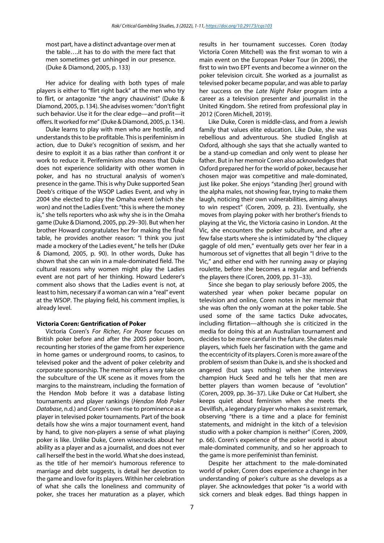most part, have a distinct advantage over men at the table….it has to do with the mere fact that men sometimes get unhinged in our presence. (Duke & Diamond, 2005, p. 133)

Her advice for dealing with both types of male players is either to "flirt right back" at the men who try to flirt, or antagonize "the angry chauvinist" (Duke & Diamond, 2005, p. 134). She advises women: "don't fight such behavior. Use it for the clear edge—and profit—it offers. It worked for me"(Duke & Diamond, 2005, p. 134).

Duke learns to play with men who are hostile, and understands this to be profitable. This is perifeminism in action, due to Duke's recognition of sexism, and her desire to exploit it as a bias rather than confront it or work to reduce it. Perifeminism also means that Duke does not experience solidarity with other women in poker, and has no structural analysis of women's presence in the game. This is why Duke supported Sean Deeb's critique of the WSOP Ladies Event, and why in 2004 she elected to play the Omaha event (which she won) and not the Ladies Event: "this is where the money is," she tells reporters who ask why she is in the Omaha game (Duke & Diamond, 2005, pp. 29–30). But when her brother Howard congratulates her for making the final table, he provides another reason: "I think you just made a mockery of the Ladies event," he tells her (Duke & Diamond, 2005, p. 90). In other words, Duke has shown that she can win in a male-dominated field. The cultural reasons why women might play the Ladies event are not part of her thinking. Howard Lederer's comment also shows that the Ladies event is not, at least to him, necessary if a woman can win a "real" event at the WSOP. The playing field, his comment implies, is already level.

#### **Victoria Coren: Gentrification of Poker**

Victoria Coren's *For Richer, For Poorer* focuses on British poker before and after the 2005 poker boom, recounting her stories of the game from her experience in home games or underground rooms, to casinos, to televised poker and the advent of poker celebrity and corporate sponsorship. The memoir offers a wry take on the subculture of the UK scene as it moves from the margins to the mainstream, including the formation of the Hendon Mob before it was a database listing tournaments and player rankings (*Hendon Mob Poker Database*, n.d.) and Coren's own rise to prominence as a player in televised poker tournaments. Part of the book details how she wins a major tournament event, hand by hand, to give non-players a sense of what playing poker is like. Unlike Duke, Coren wisecracks about her ability as a player and as a journalist, and does not ever call herself the best in the world. What she does instead, as the title of her memoir's humorous reference to marriage and debt suggests, is detail her devotion to the game and love for its players. Within her celebration of what she calls the loneliness and community of poker, she traces her maturation as a player, which

results in her tournament successes. Coren (today Victoria Coren Mitchell) was the first woman to win a main event on the European Poker Tour (in 2006), the first to win two EPT events and become a winner on the poker television circuit. She worked as a journalist as televised poker became popular, and was able to parlay her success on the *Late Night Poker* program into a career as a television presenter and journalist in the United Kingdom. She retired from professional play in 2012 (Coren Michell, 2019).

Like Duke, Coren is middle-class, and from a Jewish family that values elite education. Like Duke, she was rebellious and adventurous. She studied English at Oxford, although she says that she actually wanted to be a stand-up comedian and only went to please her father. But in her memoir Coren also acknowledges that Oxford prepared her for the world of poker, because her chosen major was competitive and male-dominated, just like poker. She enjoys "standing [her] ground with the alpha males, not showing fear, trying to make them laugh, noticing their own vulnerabilities, aiming always to win respect" (Coren, 2009, p. 23). Eventually, she moves from playing poker with her brother's friends to playing at the Vic, the Victoria casino in London. At the Vic, she encounters the poker subculture, and after a few false starts where she is intimidated by "the cliquey gaggle of old men," eventually gets over her fear in a humorous set of vignettes that all begin "I drive to the Vic," and either end with her running away or playing roulette, before she becomes a regular and befriends the players there (Coren, 2009, pp. 31–33).

Since she began to play seriously before 2005, the watershed year when poker became popular on television and online, Coren notes in her memoir that she was often the only woman at the poker table. She used some of the same tactics Duke advocates, including flirtation—although she is criticized in the media for doing this at an Australian tournament and decides to be more careful in the future. She dates male players, which fuels her fascination with the game and the eccentricity of its players. Coren is more aware of the problem of sexism than Duke is, and she is shocked and angered (but says nothing) when she interviews champion Huck Seed and he tells her that men are better players than women because of "evolution" (Coren, 2009, pp. 36–37). Like Duke or Cat Hulbert, she keeps quiet about feminism when she meets the Devilfish, a legendary player who makes a sexist remark, observing "there is a time and a place for feminist statements, and midnight in the kitch of a television studio with a poker champion is neither" (Coren, 2009, p. 66). Coren's experience of the poker world is about male-dominated community, and so her approach to the game is more perifeminist than feminist.

Despite her attachment to the male-dominated world of poker, Coren does experience a change in her understanding of poker's culture as she develops as a player. She acknowledges that poker "is a world with sick corners and bleak edges. Bad things happen in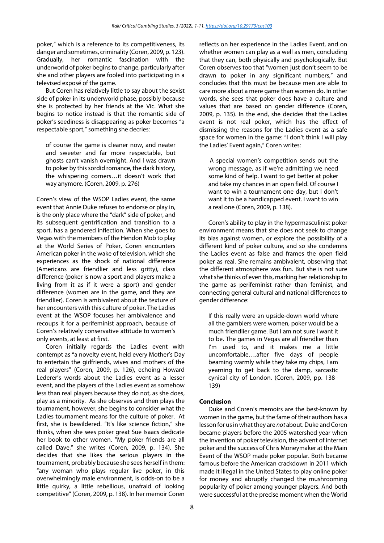poker," which is a reference to its competitiveness, its danger and sometimes, criminality (Coren, 2009, p. 123). Gradually, her romantic fascination with the underworld of poker begins to change, particularly after she and other players are fooled into participating in a televised exposé of the game.

But Coren has relatively little to say about the sexist side of poker in its underworld phase, possibly because she is protected by her friends at the Vic. What she begins to notice instead is that the romantic side of poker's seediness is disappearing as poker becomes "a respectable sport," something she decries:

of course the game is cleaner now, and neater and sweeter and far more respectable, but ghosts can't vanish overnight. And I was drawn to poker by this sordid romance, the dark history, the whispering corners…it doesn't work that way anymore. (Coren, 2009, p. 276)

Coren's view of the WSOP Ladies event, the same event that Annie Duke refuses to endorse or play in, is the only place where the "dark" side of poker, and its subsequent gentrification and transition to a sport, has a gendered inflection. When she goes to Vegas with the members of the Hendon Mob to play at the World Series of Poker, Coren encounters American poker in the wake of television, which she experiences as the shock of national difference (Americans are friendlier and less gritty), class difference (poker is now a sport and players make a living from it as if it were a sport) and gender difference (women are in the game, and they are friendlier). Coren is ambivalent about the texture of her encounters with this culture of poker. The Ladies event at the WSOP focuses her ambivalence and recoups it for a perifeminist approach, because of Coren's relatively conservative attitude to women's only events, at least at first.

Coren initially regards the Ladies event with contempt as "a novelty event, held every Mother's Day to entertain the girlfriends, wives and mothers of the real players" (Coren, 2009, p. 126), echoing Howard Lederer's words about the Ladies event as a lesser event, and the players of the Ladies event as somehow less than real players because they do not, as she does, play as a minority. As she observes and then plays the tournament, however, she begins to consider what the Ladies tournament means for the culture of poker. At first, she is bewildered. "It's like science fiction," she thinks, when she sees poker great Sue Isaacs dedicate her book to other women. "My poker friends are all called Dave," she writes (Coren, 2009, p. 134). She decides that she likes the serious players in the tournament, probably because she sees herself in them: "any woman who plays regular live poker, in this overwhelmingly male environment, is odds-on to be a little quirky, a little rebellious, unafraid of looking competitive" (Coren, 2009, p. 138). In her memoir Coren

reflects on her experience in the Ladies Event, and on whether women can play as a well as men, concluding that they can, both physically and psychologically. But Coren observes too that "women just don't seem to be drawn to poker in any significant numbers," and concludes that this must be because men are able to care more about a mere game than women do. In other words, she sees that poker does have a culture and values that are based on gender difference (Coren, 2009, p. 135). In the end, she decides that the Ladies event is not real poker, which has the effect of dismissing the reasons for the Ladies event as a safe space for women in the game: "I don't think I will play the Ladies' Event again," Coren writes:

A special women's competition sends out the wrong message, as if we're admitting we need some kind of help. I want to get better at poker and take my chances in an open field. Of course I want to win a tournament one day, but I don't want it to be a handicapped event. I want to win a real one (Coren, 2009, p. 138).

Coren's ability to play in the hypermasculinist poker environment means that she does not seek to change its bias against women, or explore the possibility of a different kind of poker culture, and so she condemns the Ladies event as false and frames the open field poker as real. She remains ambivalent, observing that the different atmosphere was fun. But she is not sure what she thinks of even this, marking her relationship to the game as perifeminist rather than feminist, and connecting general cultural and national differences to gender difference:

If this really were an upside-down world where all the gamblers were women, poker would be a much friendlier game. But I am not sure I want it to be. The games in Vegas are all friendlier than I'm used to, and it makes me a little uncomfortable….after five days of people beaming warmly while they take my chips, I am yearning to get back to the damp, sarcastic cynical city of London. (Coren, 2009, pp. 138– 139)

#### **Conclusion**

Duke and Coren's memoirs are the best-known by women in the game, but the fame of their authors has a lesson for us in what they are *not* about. Duke and Coren became players before the 2005 watershed year when the invention of poker television, the advent of internet poker and the success of Chris Moneymaker at the Main Event of the WSOP made poker popular. Both became famous before the American crackdown in 2011 which made it illegal in the United States to play online poker for money and abruptly changed the mushrooming popularity of poker among younger players. And both were successful at the precise moment when the World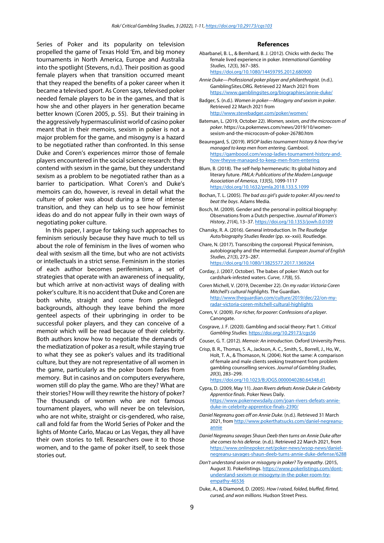Series of Poker and its popularity on television propelled the game of Texas Hold 'Em, and big money tournaments in North America, Europe and Australia into the spotlight (Stevens, n.d.). Their position as good female players when that transition occurred meant that they reaped the benefits of a poker career when it became a televised sport. As Coren says, televised poker needed female players to be in the games, and that is how she and other players in her generation became better known (Coren 2005, p. 55). But their training in the aggressively hypermasculinist world of casino poker meant that in their memoirs, sexism in poker is not a major problem for the game, and misogyny is a hazard to be negotiated rather than confronted. In this sense Duke and Coren's experiences mirror those of female players encountered in the social science research: they contend with sexism in the game, but they understand sexism as a problem to be negotiated rather than as a barrier to participation. What Coren's and Duke's memoirs can do, however, is reveal in detail what the culture of poker was about during a time of intense transition, and they can help us to see how feminist ideas do and do not appear fully in their own ways of negotiating poker culture.

In this paper, I argue for taking such approaches to feminism seriously because they have much to tell us about the role of feminism in the lives of women who deal with sexism all the time, but who are not activists or intellectuals in a strict sense. Feminism in the stories of each author becomes perifeminism, a set of strategies that operate with an awareness of inequality, but which arrive at non-activist ways of dealing with poker's culture. It is no accident that Duke and Coren are both white, straight and come from privileged backgrounds, although they leave behind the more genteel aspects of their upbringing in order to be successful poker players, and they can conceive of a memoir which will be read because of their celebrity. Both authors know how to negotiate the demands of the mediatization of poker as a result, while staying true to what they see as poker's values and its traditional culture, but they are not representative of all women in the game, particularly as the poker boom fades from memory. But in casinos and on computers everywhere, women still do play the game. Who are they? What are their stories? How will they rewrite the history of poker? The thousands of women who are not famous tournament players, who will never be on television, who are not white, straight or cis-gendered, who raise, call and fold far from the World Series of Poker and the lights of Monte Carlo, Macau or Las Vegas, they all have their own stories to tell. Researchers owe it to those women, and to the game of poker itself, to seek those stories out.

#### **References**

- Abarbanel, B. L., & Bernhard, B. J. (2012). Chicks with decks: The female lived experience in poker. *International Gambling Studies*, *12*(3), 367–385. <https://doi.org/10.1080/14459795.2012.680900>
- *Annie Duke—Professional poker player and philanthropist*. (n.d.). GamblingSites.ORG. Retrieved 22 March 2021 from <https://www.gamblingsites.org/biographies/annie-duke/>
- Badger, S. (n.d.). *Women in poker—Misogyny and sexism in poker*. Retrieved 22 March 2021 from <http://www.stevebadger.com/poker/women/>
- Bateman, L. (2019, October 22). *Women, sexism, and the microcosm of poker*. https://ca.pokernews.com/news/2019/10/womensexism-and-the-microcosm-of-poker-26780.htm
- Beauregard, S. (2019). *WSOP ladies tournament history & how they've managed to keep men from entering*. Gambool. [https://gamboool.com/wsop-ladies-tournament-history-and](https://gamboool.com/wsop-ladies-tournament-history-and-how-theyve-managed-to-keep-men-from-entering)[how-theyve-managed-to-keep-men-from-entering](https://gamboool.com/wsop-ladies-tournament-history-and-how-theyve-managed-to-keep-men-from-entering)
- Blum, B. (2018). The self-help hermeneutic: Its global history and literary future. *PMLA: Publications of the Modern Language Association of America*, *133*(5), 1099-1117 <https://doi.org/10.1632/pmla.2018.133.5.1099>
- Bochan, T. L. (2005). *The bad ass girl's guide to poker: All you need to beat the boys*. Adams Media.
- Bosch, M. (2009). Gender and the personal in political biography: Observations from a Dutch perspective. *Journal of Women's History*, *21*(4), 13–37[. https://doi.org/10.1353/jowh.0.0109](https://doi.org/10.1353/jowh.0.0109)
- Chansky, R. A. (2016). General introduction. In *The Routledge Auto/biography Studies Reader* (pp. xx–xxii). Routledge.

Chare, N. (2017). Transcribing the corporeal: Physical feminism, autobiography and the intermedial. *European Journal of English Studies*, *21*(3), 273–287. <https://doi.org/10.1080/13825577.2017.1369264>

- Corday, J. (2007, October). The babes of poker: Watch out for cardshark-infested waters. *Curve*, *17*(8), 55.
- Coren Michell, V. (2019, December 22). *On my radar: Victoria Coren Mitchell's cultural highlights*. The Guardian. [http://www.theguardian.com/culture/2019/dec/22/on-my](http://www.theguardian.com/culture/2019/dec/22/on-my-radar-victoria-coren-mitchell-cultural-highlights)[radar-victoria-coren-mitchell-cultural-highlights](http://www.theguardian.com/culture/2019/dec/22/on-my-radar-victoria-coren-mitchell-cultural-highlights)
- Coren, V. (2009). *For richer, for poorer: Confessions of a player*. Canongate.
- Cosgrave, J. F. (2020). Gambling and social theory: Part 1. *Critical Gambling Studies.* <https://doi.org/10.29173/cgs56>
- Couser, G. T. (2012). *Memoir: An introduction*. Oxford University Press.
- Crisp, B. R., Thomas, S. A., Jackson, A. C., Smith, S., Borrell, J., Ho, W., Holt, T. A., & Thomason, N. (2004). Not the same: A comparison of female and male clients seeking treatment from problem gambling counselling services. *Journal of Gambling Studies*, *20*(3), 283–299.

<https://doi.org/10.1023/B:JOGS.0000040280.64348.d1>

- Cypra, D. (2009, May 11). *Joan Rivers defeats Annie Duke in Celebrity Apprentice finals*. Poker News Daily. [https://www.pokernewsdaily.com/joan-rivers-defeats-annie](https://www.pokernewsdaily.com/joan-rivers-defeats-annie-duke-in-celebrity-apprentice-finals-2390/)[duke-in-celebrity-apprentice-finals-2390/](https://www.pokernewsdaily.com/joan-rivers-defeats-annie-duke-in-celebrity-apprentice-finals-2390/)
- *Daniel Negreanu goes off on Annie Duke*. (n.d.). Retrieved 31 March 2021, fro[m http://www.pokerthatsucks.com/daniel-negreanu](http://www.pokerthatsucks.com/daniel-negreanu-annie)[annie](http://www.pokerthatsucks.com/daniel-negreanu-annie)
- *Daniel Negreanu savages Shaun Deeb then turns on Annie Duke after she comes to his defense*. (n.d.). Retrieved 22 March 2021, from [https://www.onlinepoker.net/poker-news/wsop-news/daniel](https://www.onlinepoker.net/poker-news/wsop-news/daniel-negreanu-savages-shaun-deeb-turns-annie-duke-defense/6288)[negreanu-savages-shaun-deeb-turns-annie-duke-defense/6288](https://www.onlinepoker.net/poker-news/wsop-news/daniel-negreanu-savages-shaun-deeb-turns-annie-duke-defense/6288)
- *Don't understand sexism or misogyny in poker? Try empathy*. (2015, August 3). Pokerlistings[. https://www.pokerlistings.com/dont](https://www.pokerlistings.com/dont-understand-sexism-or-misogyny-in-the-poker-room-try-empathy-46536)[understand-sexism-or-misogyny-in-the-poker-room-try](https://www.pokerlistings.com/dont-understand-sexism-or-misogyny-in-the-poker-room-try-empathy-46536)[empathy-46536](https://www.pokerlistings.com/dont-understand-sexism-or-misogyny-in-the-poker-room-try-empathy-46536)
- Duke, A., & Diamond, D. (2005). *How I raised, folded, bluffed, flirted, cursed, and won millions*. Hudson Street Press.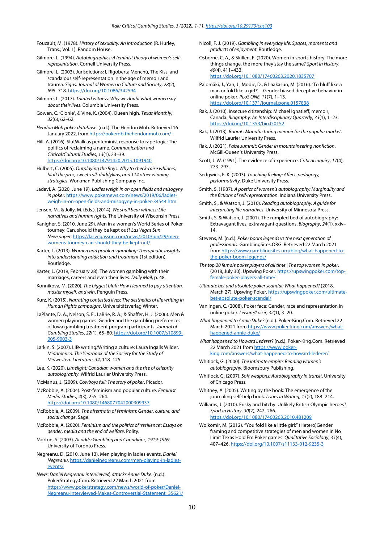- Foucault, M. (1978). *History of sexuality: An introduction* (R. Hurley, Trans.; Vol. 1). Random House.
- Gilmore, L. (1994). *Autobiographics: A feminist theory of women's selfrepresentation*. Cornell University Press.
- Gilmore, L. (2003). Jurisdictions: I, Rigoberta Menchú, The Kiss, and scandalous self-representation in the age of memoir and trauma. *Signs: Journal of Women in Culture and Society*, *28*(2), 695–718[. https://doi.org/10.1086/342594](https://doi.org/10.1086/342594)
- Gilmore, L. (2017). *Tainted witness: Why we doubt what women say about their lives*. Columbia University Press.
- Gowen, C. 'Clonie', & Vine, K. (2004). Queen high. *Texas Monthly*, *32*(6), 62–62.
- *Hendon Mob poker database*. (n.d.). The Hendon Mob. Retrieved 16 January 2022, fro[m https://pokerdb.thehendonmob.com/](https://pokerdb.thehendonmob.com/)
- Hill, A. (2016). SlutWalk as perifeminist response to rape logic: The politics of reclaiming a name. *Communication and Critical/Cultural Studies*, *13*(1), 23–39. <https://doi.org/10.1080/14791420.2015.1091940>
- Hulbert, C. (2005). *Outplaying the Boys: Why to check-raise whiners, bluff the pros, sweet-talk daddykins, and 114 other winning strategies*. Workman Publishing Company Inc.
- Jadavi, A. (2020, June 19). *Ladies weigh in on open fields and misogyny in poker*[. https://www.pokernews.com/news/2019/06/ladies](https://www.pokernews.com/news/2019/06/ladies-weigh-in-on-open-fields-and-misogyny-in-poker-34544.htm)[weigh-in-on-open-fields-and-misogyny-in-poker-34544.htm](https://www.pokernews.com/news/2019/06/ladies-weigh-in-on-open-fields-and-misogyny-in-poker-34544.htm)
- Jensen, M., & Jolly, M. (Eds.). (2014). *We shall bear witness: Life narratives and human rights*. The University of Wisconsin Press.
- Kanigher, S. (2010, June 29). Men in a women's World Series of Poker tourney: Can, should they be kept out? *Las Vegas Sun Newspaper*[. https://lasvegassun.com/news/2010/jun/29/men](https://lasvegassun.com/news/2010/jun/29/men-womens-tourney-can-should-they-be-kept-out/)[womens-tourney-can-should-they-be-kept-out/](https://lasvegassun.com/news/2010/jun/29/men-womens-tourney-can-should-they-be-kept-out/)
- Karter, L. (2013). *Women and problem gambling: Therapeutic insights into understanding addiction and treatment* (1st edition). Routledge.
- Karter, L. (2019, February 28). The women gambling with their marriages, careers and even their lives. *Daily Mail*, p. 48.
- Konnikova, M. (2020). *The biggest bluff: How I learned to pay attention, master myself, and win*. Penguin Press.
- Kurz, K. (2015). *Narrating contested lives: The aesthetics of life writing in Human Rights campaigns*. Universitätsverlag Winter.
- LaPlante, D. A., Nelson, S. E., LaBrie, R. A., & Shaffer, H. J. (2006). Men & women playing games: Gender and the gambling preferences of Iowa gambling treatment program participants. *Journal of Gambling Studies*, *22*(1), 65–80. [https://doi.org/10.1007/s10899-](https://doi.org/10.1007/s10899-005-9003-3) [005-9003-3](https://doi.org/10.1007/s10899-005-9003-3)
- Larkin, S. (2007). Life writing/Writing a culture: Laura Ingalls Wilder. *Midamerica: The Yearbook of the Society for the Study of Midwestern Literature*, *34*, 118–125.
- Lee, K. (2020). *Limelight: Canadian women and the rise of celebrity autobiography*. Wilfrid Laurier University Press.
- McManus, J. (2009). *Cowboys full: The story of poker*. Picador.
- McRobbie, A. (2004). Post‐feminism and popular culture. *Feminist Media Studies*, *4*(3), 255–264.
- <https://doi.org/10.1080/1468077042000309937> McRobbie, A. (2009). *The aftermath of feminism: Gender, culture, and*
- *social change*. Sage.
- McRobbie, A. (2020). *Feminism and the politics of 'resilience': Essays on gender, media and the end of welfare*. Polity.
- Morton, S. (2003). *At odds: Gambling and Canadians, 1919-1969*. University of Toronto Press.
- Negreanu, D. (2010, June 13). Men playing in ladies events. *Daniel Negreanu*[. https://danielnegreanu.com/men-playing-in-ladies](https://danielnegreanu.com/men-playing-in-ladies-events/)[events/](https://danielnegreanu.com/men-playing-in-ladies-events/)
- *News: Daniel Negreanu interviewed, attacks Annie Duke*. (n.d.). PokerStrategy.Com. Retrieved 22 March 2021 from [https://www.pokerstrategy.com/news/world-of-poker/Daniel-](https://www.pokerstrategy.com/news/world-of-poker/Daniel-Negreanu-Interviewed-Makes-Controversial-Statement_35621/)[Negreanu-Interviewed-Makes-Controversial-Statement\\_35621/](https://www.pokerstrategy.com/news/world-of-poker/Daniel-Negreanu-Interviewed-Makes-Controversial-Statement_35621/)
- Nicoll, F. J. (2019). *Gambling in everyday life: Spaces, moments and products of enjoyment*. Routledge.
- Osborne, C. A., & Skillen, F. (2020). Women in sports history: The more things change, the more they stay the same? *Sport in History*, *40*(4), 411–433. <https://doi.org/10.1080/17460263.2020.1835707>
- Palomäki, J., Yan, J., Modic, D., & Laakasuo, M. (2016). 'To bluff like a man or fold like a girl?' – Gender biased deceptive behavior in online poker. *PLoS ONE*, *11*(7), 1–13. <https://doi.org/10.1371/journal.pone.0157838>
- Rak, J. (2010). Insecure citizenship: Michael Ignatieff, memoir, Canada. *Biography: An Interdisciplinary Quarterly*, *33*(1), 1–23. <https://doi.org/10.1353/bio.0.0152>
- Rak, J. (2013). *Boom! : Manufacturing memoir for the popular market*. Wilfrid Laurier University Press.
- Rak, J. (2021). *False summit: Gender in mountaineering nonfiction*. McGill-Queen's University Press.
- Scott, J. W. (1991). The evidence of experience. *Critical Inquiry*, *17*(4), 773–797.
- Sedgwick, E. K. (2003). *Touching feeling: Affect, pedagogy, performativity*. Duke University Press.
- Smith, S. (1987). *A poetics of women's autobiography: Marginality and the fictions of self-representation*. Indiana University Press.
- Smith, S., & Watson, J. (2010). *Reading autobiography: A guide for interpreting life narratives*. University of Minnesota Press.
- Smith, S. & Watson, J. (2001). The rumpled bed of autobiography: Extravagant lives, extravagant questions. *Biography*, *24*(1), xxiv– 14.
- Stevens, M. (n.d.). *Poker boom legends vs the next generation of professionals*. GamblingSites.ORG. Retrieved 22 March 2021 fro[m https://www.gamblingsites.org/blog/what-happened-to](https://www.gamblingsites.org/blog/what-happened-to-the-poker-boom-legends/)[the-poker-boom-legends/](https://www.gamblingsites.org/blog/what-happened-to-the-poker-boom-legends/)
- *The top 20 female poker players of all time | The top women in poker*. (2018, July 30). Upswing Poker[. https://upswingpoker.com/top](https://upswingpoker.com/top-female-poker-players-all-time/)[female-poker-players-all-time/](https://upswingpoker.com/top-female-poker-players-all-time/)
- *Ultimate bet and absolute poker scandal: What happened?* (2018, March 27). Upswing Poker[. https://upswingpoker.com/ultimate](https://upswingpoker.com/ultimate-bet-absolute-poker-scandal/)[bet-absolute-poker-scandal/](https://upswingpoker.com/ultimate-bet-absolute-poker-scandal/)
- Van Ingen, C. (2008). Poker face: Gender, race and representation in online poker. *Leisure/Loisir*, *32*(1), 3–20.
- *What happened to Annie Duke?* (n.d.). Poker-King.Com. Retrieved 22 March 2021 fro[m https://www.poker-king.com/answers/what](https://www.poker-king.com/answers/what-happened-annie-duke/)[happened-annie-duke/](https://www.poker-king.com/answers/what-happened-annie-duke/)

*What happened to Howard Lederer?* (n.d.). Poker-King.Com. Retrieved 22 March 2021 fro[m https://www.poker](https://www.poker-king.com/answers/what-happened-to-howard-lederer/)[king.com/answers/what-happened-to-howard-lederer/](https://www.poker-king.com/answers/what-happened-to-howard-lederer/)

- Whitlock, G. (2000). *The intimate empire: Reading women's autobiography*. Bloomsbury Publishing.
- Whitlock, G. (2007). *Soft weapons: Autobiography in transit*. University of Chicago Press.
- Whitney, A. (2005). Writing by the book: The emergence of the journaling self-help book. *Issues in Writing*, *15*(2), 188–214.
- Williams, J. (2010). Frisky and bitchy: Unlikely British Olympic heroes? *Sport in History*, *30*(2), 242–266. <https://doi.org/10.1080/17460263.2010.481209>
- Wolkomir, M. (2012). "You fold like a little girl:" (Hetero)Gender framing and competitive strategies of men and women in No Limit Texas Hold Em Poker games. *Qualitative Sociology*, *35*(4), 407–426[. https://doi.org/10.1007/s11133-012-9235-3](https://doi.org/10.1007/s11133-012-9235-3)